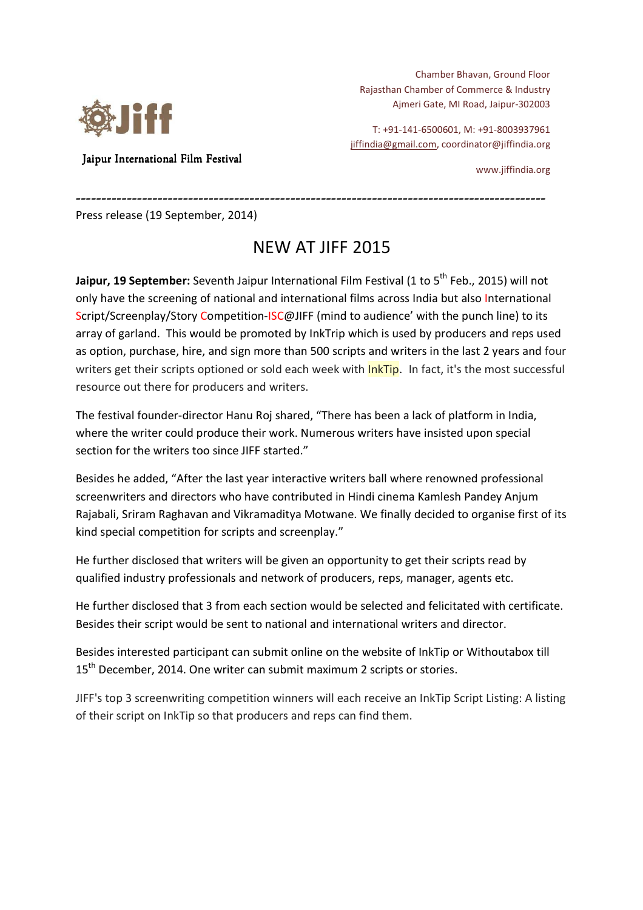

Jaipur International Film Festival

Chamber Bhavan, Ground Floor Rajasthan Chamber of Commerce & Industry Ajmeri Gate, MI Road, Jaipur-302003

T: +91-141-6500601, M: +91-8003937961 jiffindia@gmail.com, coordinator@jiffindia.org

www.jiffindia.org

Press release (19 September, 2014)

## NEW AT JIFF 2015

-------------------------------------------------------------------------------------------- -----------------------------------------

**Jaipur, 19 September:** Seventh Jaipur International Film Festival (1 to 5th Feb., 2015) will not only have the screening of national and international films across India but also International Script/Screenplay/Story Competition-ISC@JIFF (mind to audience' with the punch line) to its array of garland. This would be promoted by InkTrip which is used by producers and reps used as option, purchase, hire, and sign more than 500 scripts and writers in the last 2 years and four writers get their scripts optioned or sold each week with **InkTip**. In fact, it's the most successful resource out there for producers and writers.

The festival founder-director Hanu Roj shared, "There has been a lack of platform in India, where the writer could produce their work. Numerous writers have insisted upon special section for the writers too since JIFF started."

Besides he added, "After the last year interactive writers ball where renowned professional screenwriters and directors who have contributed in Hindi cinema Kamlesh Pandey Anjum Rajabali, Sriram Raghavan and Vikramaditya Motwane. We finally decided to organise first of its kind special competition for scripts and screenplay."

He further disclosed that writers will be given an opportunity to get their scripts read by qualified industry professionals and network of producers, reps, manager, agents etc.

He further disclosed that 3 from each section would be selected and felicitated with certificate. Besides their script would be sent to national and international writers and director.

Besides interested participant can submit online on the website of InkTip or Withoutabox till 15<sup>th</sup> December, 2014. One writer can submit maximum 2 scripts or stories.

JIFF's top 3 screenwriting competition winners will each receive an InkTip Script Listing: A listing of their script on InkTip so that producers and reps can find them.